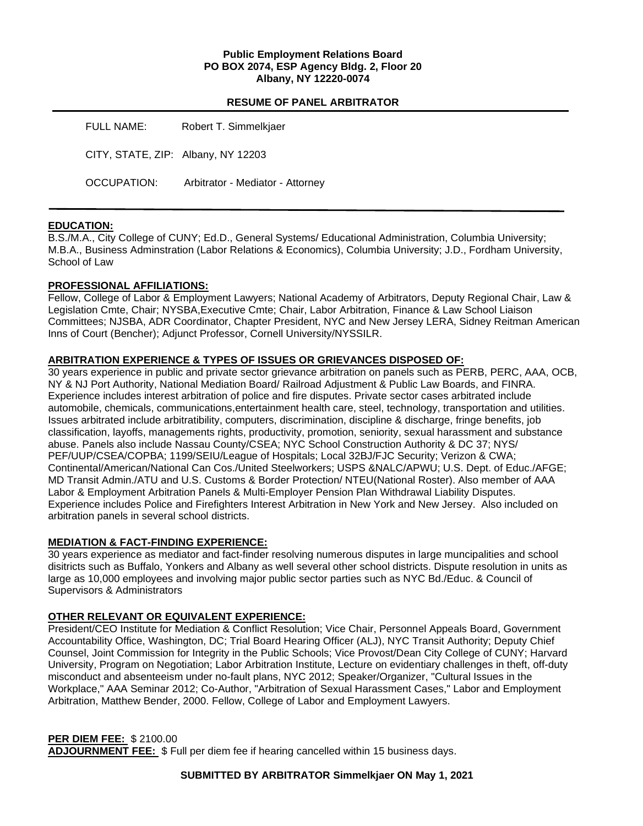### **Public Employment Relations Board PO BOX 2074, ESP Agency Bldg. 2, Floor 20 Albany, NY 12220-0074**

### **RESUME OF PANEL ARBITRATOR**

| FULL NAME:                         | Robert T. Simmelkjaer            |
|------------------------------------|----------------------------------|
| CITY, STATE, ZIP: Albany, NY 12203 |                                  |
| OCCUPATION:                        | Arbitrator - Mediator - Attorney |

### **EDUCATION:**

B.S./M.A., City College of CUNY; Ed.D., General Systems/ Educational Administration, Columbia University; M.B.A., Business Adminstration (Labor Relations & Economics), Columbia University; J.D., Fordham University, School of Law

### **PROFESSIONAL AFFILIATIONS:**

Fellow, College of Labor & Employment Lawyers; National Academy of Arbitrators, Deputy Regional Chair, Law & Legislation Cmte, Chair; NYSBA,Executive Cmte; Chair, Labor Arbitration, Finance & Law School Liaison Committees; NJSBA, ADR Coordinator, Chapter President, NYC and New Jersey LERA, Sidney Reitman American Inns of Court (Bencher); Adjunct Professor, Cornell University/NYSSILR.

### **ARBITRATION EXPERIENCE & TYPES OF ISSUES OR GRIEVANCES DISPOSED OF:**

30 years experience in public and private sector grievance arbitration on panels such as PERB, PERC, AAA, OCB, NY & NJ Port Authority, National Mediation Board/ Railroad Adjustment & Public Law Boards, and FINRA. Experience includes interest arbitration of police and fire disputes. Private sector cases arbitrated include automobile, chemicals, communications,entertainment health care, steel, technology, transportation and utilities. Issues arbitrated include arbitratibility, computers, discrimination, discipline & discharge, fringe benefits, job classification, layoffs, managements rights, productivity, promotion, seniority, sexual harassment and substance abuse. Panels also include Nassau County/CSEA; NYC School Construction Authority & DC 37; NYS/ PEF/UUP/CSEA/COPBA; 1199/SEIU/League of Hospitals; Local 32BJ/FJC Security; Verizon & CWA; Continental/American/National Can Cos./United Steelworkers; USPS &NALC/APWU; U.S. Dept. of Educ./AFGE; MD Transit Admin./ATU and U.S. Customs & Border Protection/ NTEU(National Roster). Also member of AAA Labor & Employment Arbitration Panels & Multi-Employer Pension Plan Withdrawal Liability Disputes. Experience includes Police and Firefighters Interest Arbitration in New York and New Jersey. Also included on arbitration panels in several school districts.

### **MEDIATION & FACT-FINDING EXPERIENCE:**

30 years experience as mediator and fact-finder resolving numerous disputes in large muncipalities and school disitricts such as Buffalo, Yonkers and Albany as well several other school districts. Dispute resolution in units as large as 10,000 employees and involving major public sector parties such as NYC Bd./Educ. & Council of Supervisors & Administrators

## **OTHER RELEVANT OR EQUIVALENT EXPERIENCE:**

President/CEO Institute for Mediation & Conflict Resolution; Vice Chair, Personnel Appeals Board, Government Accountability Office, Washington, DC; Trial Board Hearing Officer (ALJ), NYC Transit Authority; Deputy Chief Counsel, Joint Commission for Integrity in the Public Schools; Vice Provost/Dean City College of CUNY; Harvard University, Program on Negotiation; Labor Arbitration Institute, Lecture on evidentiary challenges in theft, off-duty misconduct and absenteeism under no-fault plans, NYC 2012; Speaker/Organizer, "Cultural Issues in the Workplace," AAA Seminar 2012; Co-Author, "Arbitration of Sexual Harassment Cases," Labor and Employment Arbitration, Matthew Bender, 2000. Fellow, College of Labor and Employment Lawyers.

### **PER DIEM FEE:** \$ 2100.00

**ADJOURNMENT FEE:** \$ Full per diem fee if hearing cancelled within 15 business days.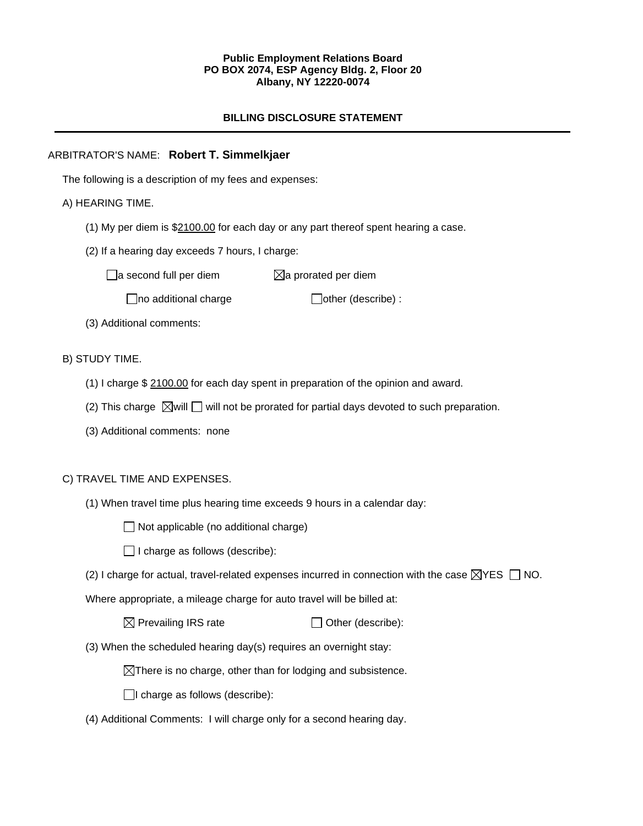### **Public Employment Relations Board PO BOX 2074, ESP Agency Bldg. 2, Floor 20 Albany, NY 12220-0074**

## **BILLING DISCLOSURE STATEMENT**

## ARBITRATOR'S NAME: **Robert T. Simmelkjaer**

The following is a description of my fees and expenses:

## A) HEARING TIME.

- (1) My per diem is \$2100.00 for each day or any part thereof spent hearing a case.
- (2) If a hearing day exceeds 7 hours, I charge:

 $\Box$ a second full per diem  $\Box$ a prorated per diem

 $\Box$ no additional charge  $\Box$ other (describe) :

(3) Additional comments:

## B) STUDY TIME.

- (1) I charge \$ 2100.00 for each day spent in preparation of the opinion and award.
- (2) This charge  $\boxtimes$  will  $\square$  will not be prorated for partial days devoted to such preparation.
- (3) Additional comments: none

### C) TRAVEL TIME AND EXPENSES.

(1) When travel time plus hearing time exceeds 9 hours in a calendar day:

 $\Box$  Not applicable (no additional charge)

 $\Box$  I charge as follows (describe):

(2) I charge for actual, travel-related expenses incurred in connection with the case  $\boxtimes$ YES  $\Box$  NO.

Where appropriate, a mileage charge for auto travel will be billed at:

 $\boxtimes$  Prevailing IRS rate  $\Box$  Other (describe):

(3) When the scheduled hearing day(s) requires an overnight stay:

 $\boxtimes$ There is no charge, other than for lodging and subsistence.

 $\Box$ I charge as follows (describe):

(4) Additional Comments: I will charge only for a second hearing day.